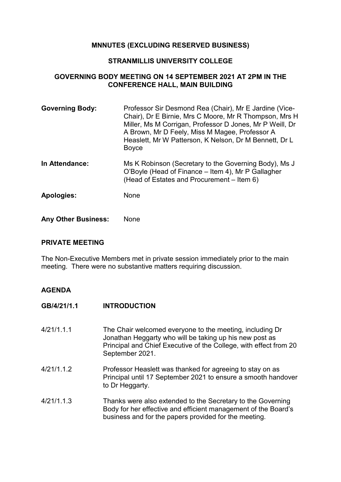### **MNNUTES (EXCLUDING RESERVED BUSINESS)**

### **STRANMILLIS UNIVERSITY COLLEGE**

#### **GOVERNING BODY MEETING ON 14 SEPTEMBER 2021 AT 2PM IN THE CONFERENCE HALL, MAIN BUILDING**

- **Governing Body:** Professor Sir Desmond Rea (Chair), Mr E Jardine (Vice-Chair), Dr E Birnie, Mrs C Moore, Mr R Thompson, Mrs H Miller, Ms M Corrigan, Professor D Jones, Mr P Weill, Dr A Brown, Mr D Feely, Miss M Magee, Professor A Heaslett, Mr W Patterson, K Nelson, Dr M Bennett, Dr L Boyce **In Attendance:** Ms K Robinson (Secretary to the Governing Body), Ms J O'Boyle (Head of Finance – Item 4), Mr P Gallagher (Head of Estates and Procurement – Item 6) **Apologies:** None
- **Any Other Business:** None

### **PRIVATE MEETING**

The Non-Executive Members met in private session immediately prior to the main meeting. There were no substantive matters requiring discussion.

### **AGENDA**

- **GB/4/21/1.1 INTRODUCTION**
- 4/21/1.1.1 The Chair welcomed everyone to the meeting, including Dr Jonathan Heggarty who will be taking up his new post as Principal and Chief Executive of the College, with effect from 20 September 2021.
- 4/21/1.1.2 Professor Heaslett was thanked for agreeing to stay on as Principal until 17 September 2021 to ensure a smooth handover to Dr Heggarty.
- 4/21/1.1.3 Thanks were also extended to the Secretary to the Governing Body for her effective and efficient management of the Board's business and for the papers provided for the meeting.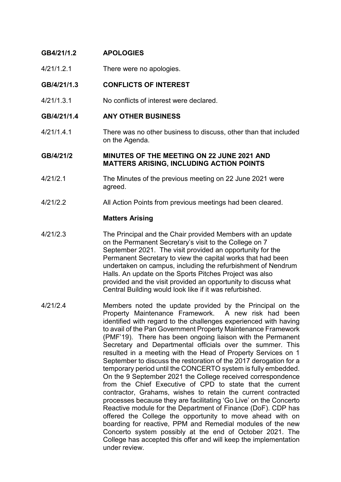| GB4/21/1.2  | <b>APOLOGIES</b>                                                                                                                                                                   |
|-------------|------------------------------------------------------------------------------------------------------------------------------------------------------------------------------------|
| 4/21/1.2.1  | There were no apologies.                                                                                                                                                           |
| GB/4/21/1.3 | <b>CONFLICTS OF INTEREST</b>                                                                                                                                                       |
| 4/21/1.3.1  | No conflicts of interest were declared.                                                                                                                                            |
| GB/4/21/1.4 | <b>ANY OTHER BUSINESS</b>                                                                                                                                                          |
| 4/21/1.4.1  | There was no other business to discuss, other than that included<br>on the Agenda.                                                                                                 |
| GB/4/21/2   | <b>MINUTES OF THE MEETING ON 22 JUNE 2021 AND</b><br><b>MATTERS ARISING, INCLUDING ACTION POINTS</b>                                                                               |
| 4/21/2.1    | The Minutes of the previous meeting on 22 June 2021 were<br>agreed.                                                                                                                |
| 4/21/2.2    | All Action Points from previous meetings had been cleared.                                                                                                                         |
|             | <b>Matters Arising</b>                                                                                                                                                             |
| 4/21/2.3    | The Principal and the Chair provided Members with an update<br>on the Permanent Secretary's visit to the College on 7<br>September 2021. The visit provided an opportunity for the |

September 2021. The visit provided an opportunity for the Permanent Secretary to view the capital works that had been undertaken on campus, including the refurbishment of Nendrum Halls. An update on the Sports Pitches Project was also provided and the visit provided an opportunity to discuss what Central Building would look like if it was refurbished.

4/21/2.4 Members noted the update provided by the Principal on the Property Maintenance Framework. A new risk had been identified with regard to the challenges experienced with having to avail of the Pan Government Property Maintenance Framework (PMF'19). There has been ongoing liaison with the Permanent Secretary and Departmental officials over the summer. This resulted in a meeting with the Head of Property Services on 1 September to discuss the restoration of the 2017 derogation for a temporary period until the CONCERTO system is fully embedded. On the 9 September 2021 the College received correspondence from the Chief Executive of CPD to state that the current contractor, Grahams, wishes to retain the current contracted processes because they are facilitating 'Go Live' on the Concerto Reactive module for the Department of Finance (DoF). CDP has offered the College the opportunity to move ahead with on boarding for reactive, PPM and Remedial modules of the new Concerto system possibly at the end of October 2021. The College has accepted this offer and will keep the implementation under review.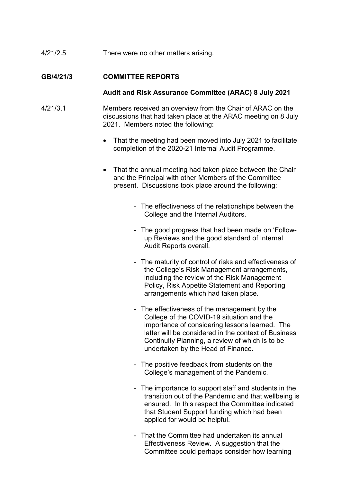4/21/2.5 There were no other matters arising.

### **GB/4/21/3 COMMITTEE REPORTS**

#### **Audit and Risk Assurance Committee (ARAC) 8 July 2021**

- 4/21/3.1 Members received an overview from the Chair of ARAC on the discussions that had taken place at the ARAC meeting on 8 July 2021. Members noted the following:
	- That the meeting had been moved into July 2021 to facilitate completion of the 2020-21 Internal Audit Programme.
	- That the annual meeting had taken place between the Chair and the Principal with other Members of the Committee present. Discussions took place around the following:
		- The effectiveness of the relationships between the College and the Internal Auditors.
		- The good progress that had been made on 'Followup Reviews and the good standard of Internal Audit Reports overall.
		- The maturity of control of risks and effectiveness of the College's Risk Management arrangements, including the review of the Risk Management Policy, Risk Appetite Statement and Reporting arrangements which had taken place.
		- The effectiveness of the management by the College of the COVID-19 situation and the importance of considering lessons learned. The latter will be considered in the context of Business Continuity Planning, a review of which is to be undertaken by the Head of Finance.
		- The positive feedback from students on the College's management of the Pandemic.
		- The importance to support staff and students in the transition out of the Pandemic and that wellbeing is ensured. In this respect the Committee indicated that Student Support funding which had been applied for would be helpful.
		- That the Committee had undertaken its annual Effectiveness Review. A suggestion that the Committee could perhaps consider how learning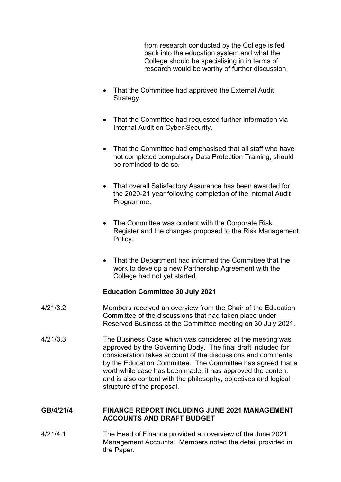from research conducted by the College is fed back into the education system and what the College should be specialising in in terms of research would be worthy of further discussion.

- That the Committee had approved the External Audit Strategy.
- That the Committee had requested further information via Internal Audit on Cyber-Security.
- That the Committee had emphasised that all staff who have not completed compulsory Data Protection Training, should be reminded to do so.
- That overall Satisfactory Assurance has been awarded for the 2020-21 year following completion of the Internal Audit Programme.
- The Committee was content with the Corporate Risk Register and the changes proposed to the Risk Management Policy.
- That the Department had informed the Committee that the work to develop a new Partnership Agreement with the College had not yet started.

### **Education Committee 30 July 2021**

- 4/21/3.2 Members received an overview from the Chair of the Education Committee of the discussions that had taken place under Reserved Business at the Committee meeting on 30 July 2021.
- 4/21/3.3 The Business Case which was considered at the meeting was approved by the Governing Body. The final draft included for consideration takes account of the discussions and comments by the Education Committee. The Committee has agreed that a worthwhile case has been made, it has approved the content and is also content with the philosophy, objectives and logical structure of the proposal.

#### **GB/4/21/4 FINANCE REPORT INCLUDING JUNE 2021 MANAGEMENT ACCOUNTS AND DRAFT BUDGET**

4/21/4.1 The Head of Finance provided an overview of the June 2021 Management Accounts. Members noted the detail provided in the Paper.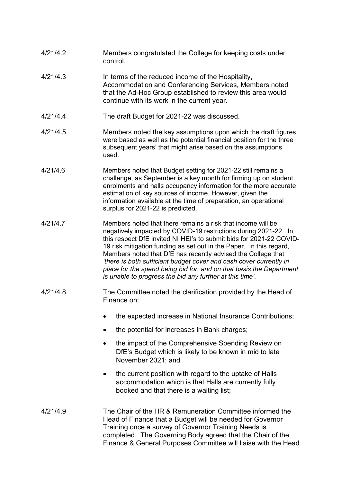- 4/21/4.2 Members congratulated the College for keeping costs under control.
- 4/21/4.3 In terms of the reduced income of the Hospitality, Accommodation and Conferencing Services, Members noted that the Ad-Hoc Group established to review this area would continue with its work in the current year.
- 4/21/4.4 The draft Budget for 2021-22 was discussed.
- 4/21/4.5 Members noted the key assumptions upon which the draft figures were based as well as the potential financial position for the three subsequent years' that might arise based on the assumptions used.
- 4/21/4.6 Members noted that Budget setting for 2021-22 still remains a challenge, as September is a key month for firming up on student enrolments and halls occupancy information for the more accurate estimation of key sources of income. However, given the information available at the time of preparation, an operational surplus for 2021-22 is predicted.
- 4/21/4.7 Members noted that there remains a risk that income will be negatively impacted by COVID-19 restrictions during 2021-22. In this respect DfE invited NI HEI's to submit bids for 2021-22 COVID-19 risk mitigation funding as set out in the Paper. In this regard, Members noted that DfE has recently advised the College that *'there is both sufficient budget cover and cash cover currently in place for the spend being bid for, and on that basis the Department is unable to progress the bid any further at this time'*.
- 4/21/4.8 The Committee noted the clarification provided by the Head of Finance on:
	- the expected increase in National Insurance Contributions;
	- the potential for increases in Bank charges;
	- the impact of the Comprehensive Spending Review on DfE's Budget which is likely to be known in mid to late November 2021; and
	- the current position with regard to the uptake of Halls accommodation which is that Halls are currently fully booked and that there is a waiting list;
- 4/21/4.9 The Chair of the HR & Remuneration Committee informed the Head of Finance that a Budget will be needed for Governor Training once a survey of Governor Training Needs is completed. The Governing Body agreed that the Chair of the Finance & General Purposes Committee will liaise with the Head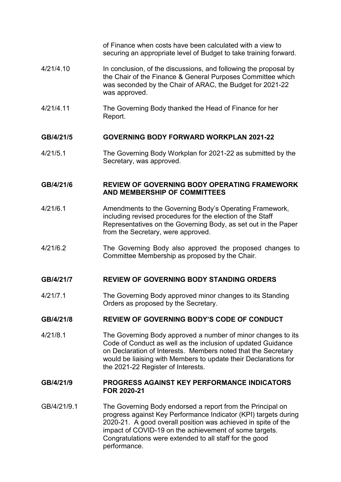of Finance when costs have been calculated with a view to securing an appropriate level of Budget to take training forward.

- 4/21/4.10 In conclusion, of the discussions, and following the proposal by the Chair of the Finance & General Purposes Committee which was seconded by the Chair of ARAC, the Budget for 2021-22 was approved.
- 4/21/4.11 The Governing Body thanked the Head of Finance for her Report.

### **GB/4/21/5 GOVERNING BODY FORWARD WORKPLAN 2021-22**

4/21/5.1 The Governing Body Workplan for 2021-22 as submitted by the Secretary, was approved.

### **GB/4/21/6 REVIEW OF GOVERNING BODY OPERATING FRAMEWORK AND MEMBERSHIP OF COMMITTEES**

- 4/21/6.1 Amendments to the Governing Body's Operating Framework, including revised procedures for the election of the Staff Representatives on the Governing Body, as set out in the Paper from the Secretary, were approved.
- 4/21/6.2 The Governing Body also approved the proposed changes to Committee Membership as proposed by the Chair.

### **GB/4/21/7 REVIEW OF GOVERNING BODY STANDING ORDERS**

4/21/7.1 The Governing Body approved minor changes to its Standing Orders as proposed by the Secretary.

### **GB/4/21/8 REVIEW OF GOVERNING BODY'S CODE OF CONDUCT**

4/21/8.1 The Governing Body approved a number of minor changes to its Code of Conduct as well as the inclusion of updated Guidance on Declaration of Interests. Members noted that the Secretary would be liaising with Members to update their Declarations for the 2021-22 Register of Interests.

#### **GB/4/21/9 PROGRESS AGAINST KEY PERFORMANCE INDICATORS FOR 2020-21**

GB/4/21/9.1 The Governing Body endorsed a report from the Principal on progress against Key Performance Indicator (KPI) targets during 2020-21. A good overall position was achieved in spite of the impact of COVID-19 on the achievement of some targets. Congratulations were extended to all staff for the good performance.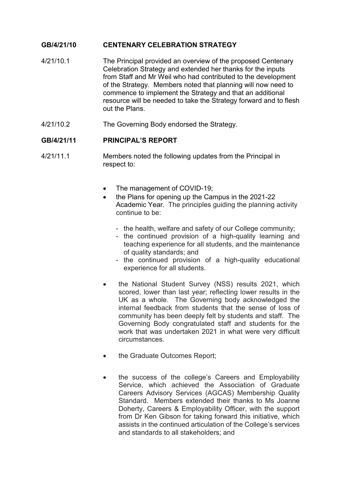## **GB/4/21/10 CENTENARY CELEBRATION STRATEGY**

- 4/21/10.1 The Principal provided an overview of the proposed Centenary Celebration Strategy and extended her thanks for the inputs from Staff and Mr Weil who had contributed to the development of the Strategy. Members noted that planning will now need to commence to implement the Strategy and that an additional resource will be needed to take the Strategy forward and to flesh out the Plans.
- 4/21/10.2 The Governing Body endorsed the Strategy.

### **GB/4/21/11 PRINCIPAL'S REPORT**

- 4/21/11.1 Members noted the following updates from the Principal in respect to:
	- The management of COVID-19;
	- the Plans for opening up the Campus in the 2021-22 Academic Year. The principles guiding the planning activity continue to be:
		- the health, welfare and safety of our College community;
		- the continued provision of a high-quality learning and teaching experience for all students, and the maintenance of quality standards; and
		- the continued provision of a high-quality educational experience for all students.
	- the National Student Survey (NSS) results 2021, which scored, lower than last year; reflecting lower results in the UK as a whole. The Governing body acknowledged the internal feedback from students that the sense of loss of community has been deeply felt by students and staff. The Governing Body congratulated staff and students for the work that was undertaken 2021 in what were very difficult circumstances.
	- the Graduate Outcomes Report:
	- the success of the college's Careers and Employability Service, which achieved the Association of Graduate Careers Advisory Services (AGCAS) Membership Quality Standard. Members extended their thanks to Ms Joanne Doherty, Careers & Employability Officer, with the support from Dr Ken Gibson for taking forward this initiative, which assists in the continued articulation of the College's services and standards to all stakeholders; and